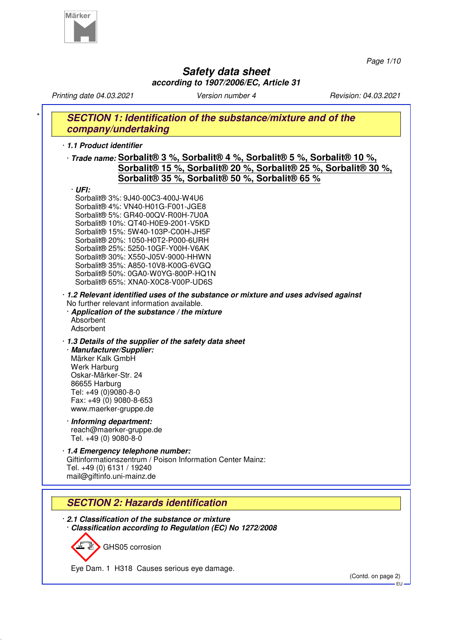

*Page 1/10*

# **Safety data sheet according to 1907/2006/EC, Article 31**

*Printing date 04.03.2021 Version number 4 Revision: 04.03.2021* **SECTION 1: Identification of the substance/mixture and of the company/undertaking** · **1.1 Product identifier** · **Trade name: Sorbalit® 3 %, Sorbalit® 4 %, Sorbalit® 5 %, Sorbalit® 10 %, Sorbalit® 15 %, Sorbalit® 20 %, Sorbalit® 25 %, Sorbalit® 30 %, Sorbalit® 35 %, Sorbalit® 50 %, Sorbalit® 65 %** · **UFI:** Sorbalit® 3%: 9J40-00C3-400J-W4U6 Sorbalit® 4%: VN40-H01G-F001-JGE8 Sorbalit® 5%: GR40-00QV-R00H-7U0A Sorbalit® 10%: QT40-H0E9-2001-V5KD Sorbalit® 15%: 5W40-103P-C00H-JH5F Sorbalit® 20%: 1050-H0T2-P000-6URH Sorbalit® 25%: 5250-10GF-Y00H-V6AK Sorbalit® 30%: X550-J05V-9000-HHWN Sorbalit® 35%: A850-10V8-K00G-6VGQ Sorbalit® 50%: 0GA0-W0YG-800P-HQ1N Sorbalit® 65%: XNA0-X0C8-V00P-UD6S · **1.2 Relevant identified uses of the substance or mixture and uses advised against** No further relevant information available. · **Application of the substance / the mixture** Absorbent Adsorbent · **1.3 Details of the supplier of the safety data sheet** · **Manufacturer/Supplier:** Märker Kalk GmbH Werk Harburg Oskar-Märker-Str. 24 86655 Harburg Tel: +49 (0)9080-8-0 Fax: +49 (0) 9080-8-653 www.maerker-gruppe.de · **Informing department:** reach@maerker-gruppe.de Tel. +49 (0) 9080-8-0 · **1.4 Emergency telephone number:** Giftinformationszentrum / Poison Information Center Mainz: Tel. +49 (0) 6131 / 19240 mail@giftinfo.uni-mainz.de **SECTION 2: Hazards identification** · **2.1 Classification of the substance or mixture** · **Classification according to Regulation (EC) No 1272/2008** GHS05 corrosion

Eye Dam. 1 H318 Causes serious eye damage.

(Contd. on page 2)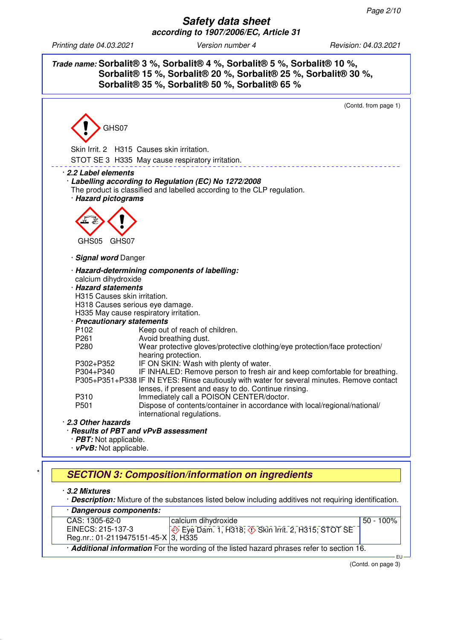**Trade name: Sorbalit® 3 %, Sorbalit® 4 %, Sorbalit® 5 %, Sorbalit® 10 %, Sorbalit® 15 %, Sorbalit® 20 %, Sorbalit® 25 %, Sorbalit® 30 %, Sorbalit® 35 %, Sorbalit® 50 %, Sorbalit® 65 %**



# **SECTION 3: Composition/information on ingredients**

· **3.2 Mixtures**

· **Description:** Mixture of the substances listed below including additives not requiring identification.

| · Dangerous components:                                                                  |                                                                                    |           |     |  |
|------------------------------------------------------------------------------------------|------------------------------------------------------------------------------------|-----------|-----|--|
| CAS: 1305-62-0                                                                           | calcium dihydroxide                                                                | 50 - 100% |     |  |
| EINECS: 215-137-3                                                                        | $\Leftrightarrow$ Eye Dam. 1, H318; $\Leftrightarrow$ Skin Irrit. 2, H315; STOT SE |           |     |  |
| Reg.nr.: 01-2119475151-45-X $\overline{3}$ , H335                                        |                                                                                    |           |     |  |
| Additional information For the wording of the listed hazard phrases refer to section 16. |                                                                                    |           |     |  |
|                                                                                          |                                                                                    |           | EU- |  |

(Contd. on page 3)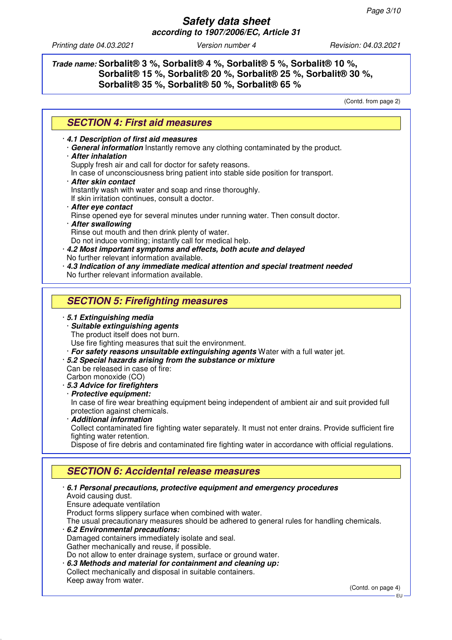## **Trade name: Sorbalit® 3 %, Sorbalit® 4 %, Sorbalit® 5 %, Sorbalit® 10 %, Sorbalit® 15 %, Sorbalit® 20 %, Sorbalit® 25 %, Sorbalit® 30 %, Sorbalit® 35 %, Sorbalit® 50 %, Sorbalit® 65 %**

(Contd. from page 2)

## **SECTION 4: First aid measures**

· **4.1 Description of first aid measures**

- · **General information** Instantly remove any clothing contaminated by the product.
- · **After inhalation**

Supply fresh air and call for doctor for safety reasons.

- In case of unconsciousness bring patient into stable side position for transport.
- · **After skin contact**
- Instantly wash with water and soap and rinse thoroughly.

If skin irritation continues, consult a doctor.

- · **After eye contact**
- Rinse opened eye for several minutes under running water. Then consult doctor.
- · **After swallowing** Rinse out mouth and then drink plenty of water.
- Do not induce vomiting; instantly call for medical help.
- · **4.2 Most important symptoms and effects, both acute and delayed** No further relevant information available.
- · **4.3 Indication of any immediate medical attention and special treatment needed** No further relevant information available.

## **SECTION 5: Firefighting measures**

#### · **5.1 Extinguishing media**

· **Suitable extinguishing agents**

The product itself does not burn.

Use fire fighting measures that suit the environment.

- · **For safety reasons unsuitable extinguishing agents** Water with a full water jet.
- · **5.2 Special hazards arising from the substance or mixture**
- Can be released in case of fire: Carbon monoxide (CO)
- · **5.3 Advice for firefighters**
- · **Protective equipment:**

In case of fire wear breathing equipment being independent of ambient air and suit provided full protection against chemicals.

· **Additional information**

Collect contaminated fire fighting water separately. It must not enter drains. Provide sufficient fire fighting water retention.

Dispose of fire debris and contaminated fire fighting water in accordance with official regulations.

## **SECTION 6: Accidental release measures**

· **6.1 Personal precautions, protective equipment and emergency procedures** Avoid causing dust. Ensure adequate ventilation Product forms slippery surface when combined with water. The usual precautionary measures should be adhered to general rules for handling chemicals. · **6.2 Environmental precautions:** Damaged containers immediately isolate and seal. Gather mechanically and reuse, if possible. Do not allow to enter drainage system, surface or ground water. · **6.3 Methods and material for containment and cleaning up:** Collect mechanically and disposal in suitable containers. Keep away from water.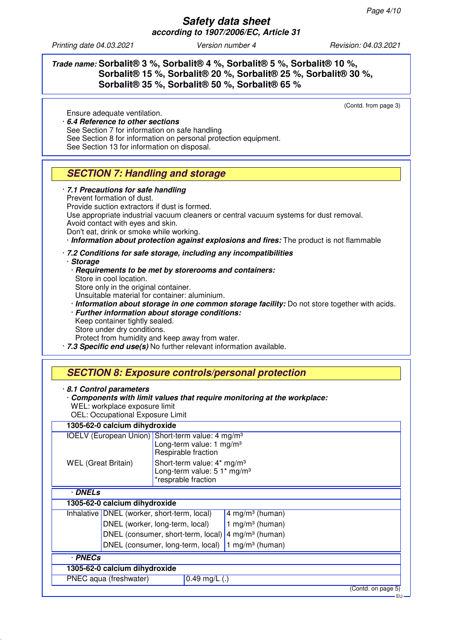EU

*Printing date 04.03.2021 Version number 4 Revision: 04.03.2021*

### **Trade name: Sorbalit® 3 %, Sorbalit® 4 %, Sorbalit® 5 %, Sorbalit® 10 %, Sorbalit® 15 %, Sorbalit® 20 %, Sorbalit® 25 %, Sorbalit® 30 %, Sorbalit® 35 %, Sorbalit® 50 %, Sorbalit® 65 %** (Contd. from page 3) Ensure adequate ventilation. · **6.4 Reference to other sections** See Section 7 for information on safe handling See Section 8 for information on personal protection equipment. See Section 13 for information on disposal. **SECTION 7: Handling and storage** · **7.1 Precautions for safe handling** Prevent formation of dust. Provide suction extractors if dust is formed. Use appropriate industrial vacuum cleaners or central vacuum systems for dust removal. Avoid contact with eyes and skin. Don't eat, drink or smoke while working. · **Information about protection against explosions and fires:** The product is not flammable · **7.2 Conditions for safe storage, including any incompatibilities** · **Storage** · **Requirements to be met by storerooms and containers:** Store in cool location. Store only in the original container. Unsuitable material for container: aluminium. · **Information about storage in one common storage facility:** Do not store together with acids. · **Further information about storage conditions:** Keep container tightly sealed. Store under dry conditions. Protect from humidity and keep away from water. · **7.3 Specific end use(s)** No further relevant information available. **SECTION 8: Exposure controls/personal protection** · **8.1 Control parameters** · **Components with limit values that require monitoring at the workplace:** WEL: workplace exposure limit OEL: Occupational Exposure Limit **1305-62-0 calcium dihydroxide** IOELV (European Union) Short-term value: 4 mg/m<sup>3</sup> Long-term value: 1 mg/m<sup>3</sup> Respirable fraction WEL (Great Britain) Short-term value: 4\* mg/m<sup>3</sup> Long-term value: 5 1<sup>\*</sup> mg/m<sup>3</sup> \*resprable fraction · **DNELs 1305-62-0 calcium dihydroxide** Inhalative DNEL (worker, short-term, local) 4 mg/m<sup>3</sup> (human) DNEL (worker, long-term, local)  $\vert$  1 mg/m<sup>3</sup> (human) DNEL (consumer, short-term, local)  $4 \text{ mg/m}^3$  (human) DNEL (consumer, long-term, local)  $1$  mg/m<sup>3</sup> (human) · **PNECs 1305-62-0 calcium dihydroxide** PNEC aqua (freshwater) 0.49 mg/L (.) (Contd. on page 5)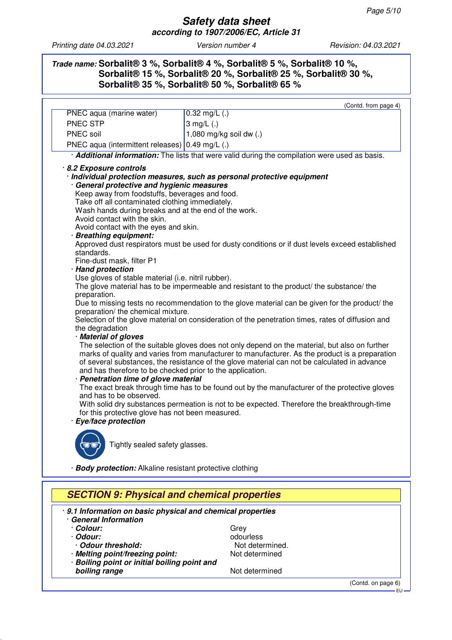## **Trade name: Sorbalit® 3 %, Sorbalit® 4 %, Sorbalit® 5 %, Sorbalit® 10 %, Sorbalit® 15 %, Sorbalit® 20 %, Sorbalit® 25 %, Sorbalit® 30 %, Sorbalit® 35 %, Sorbalit® 50 %, Sorbalit® 65 %**

|                                                                                                                                                                                                                                                           | (Contd. from page 4)                                                                                  |  |  |                      |  |  |  |  |
|-----------------------------------------------------------------------------------------------------------------------------------------------------------------------------------------------------------------------------------------------------------|-------------------------------------------------------------------------------------------------------|--|--|----------------------|--|--|--|--|
| PNEC aqua (marine water)                                                                                                                                                                                                                                  | $0.32$ mg/L (.)                                                                                       |  |  |                      |  |  |  |  |
| PNEC STP                                                                                                                                                                                                                                                  | $3$ mg/L $(.)$                                                                                        |  |  |                      |  |  |  |  |
| PNEC soil                                                                                                                                                                                                                                                 | 1,080 mg/kg soil dw (.)                                                                               |  |  |                      |  |  |  |  |
| PNEC aqua (intermittent releases) 0.49 mg/L (.)                                                                                                                                                                                                           |                                                                                                       |  |  |                      |  |  |  |  |
|                                                                                                                                                                                                                                                           | · <b>Additional information:</b> The lists that were valid during the compilation were used as basis. |  |  |                      |  |  |  |  |
| 8.2 Exposure controls                                                                                                                                                                                                                                     |                                                                                                       |  |  |                      |  |  |  |  |
|                                                                                                                                                                                                                                                           | · Individual protection measures, such as personal protective equipment                               |  |  |                      |  |  |  |  |
|                                                                                                                                                                                                                                                           | · General protective and hygienic measures                                                            |  |  |                      |  |  |  |  |
| Keep away from foodstuffs, beverages and food.                                                                                                                                                                                                            |                                                                                                       |  |  |                      |  |  |  |  |
| Take off all contaminated clothing immediately.                                                                                                                                                                                                           |                                                                                                       |  |  |                      |  |  |  |  |
| Wash hands during breaks and at the end of the work.                                                                                                                                                                                                      |                                                                                                       |  |  |                      |  |  |  |  |
| Avoid contact with the skin.                                                                                                                                                                                                                              |                                                                                                       |  |  |                      |  |  |  |  |
| Avoid contact with the eyes and skin.                                                                                                                                                                                                                     |                                                                                                       |  |  |                      |  |  |  |  |
| · Breathing equipment:                                                                                                                                                                                                                                    | Approved dust respirators must be used for dusty conditions or if dust levels exceed established      |  |  |                      |  |  |  |  |
| standards.                                                                                                                                                                                                                                                |                                                                                                       |  |  |                      |  |  |  |  |
| Fine-dust mask, filter P1                                                                                                                                                                                                                                 |                                                                                                       |  |  |                      |  |  |  |  |
| · Hand protection                                                                                                                                                                                                                                         |                                                                                                       |  |  |                      |  |  |  |  |
| Use gloves of stable material (i.e. nitril rubber).                                                                                                                                                                                                       |                                                                                                       |  |  |                      |  |  |  |  |
|                                                                                                                                                                                                                                                           | The glove material has to be impermeable and resistant to the product/ the substance/ the             |  |  |                      |  |  |  |  |
| preparation.<br>Due to missing tests no recommendation to the glove material can be given for the product/ the<br>preparation/ the chemical mixture.<br>Selection of the glove material on consideration of the penetration times, rates of diffusion and |                                                                                                       |  |  |                      |  |  |  |  |
|                                                                                                                                                                                                                                                           |                                                                                                       |  |  | the degradation      |  |  |  |  |
|                                                                                                                                                                                                                                                           |                                                                                                       |  |  | · Material of gloves |  |  |  |  |
|                                                                                                                                                                                                                                                           | The selection of the suitable gloves does not only depend on the material, but also on further        |  |  |                      |  |  |  |  |
|                                                                                                                                                                                                                                                           | marks of quality and varies from manufacturer to manufacturer. As the product is a preparation        |  |  |                      |  |  |  |  |
|                                                                                                                                                                                                                                                           | of several substances, the resistance of the glove material can not be calculated in advance          |  |  |                      |  |  |  |  |
| and has therefore to be checked prior to the application.                                                                                                                                                                                                 |                                                                                                       |  |  |                      |  |  |  |  |
| · Penetration time of glove material<br>The exact break through time has to be found out by the manufacturer of the protective gloves                                                                                                                     |                                                                                                       |  |  |                      |  |  |  |  |
| and has to be observed.                                                                                                                                                                                                                                   |                                                                                                       |  |  |                      |  |  |  |  |
| With solid dry substances permeation is not to be expected. Therefore the breakthrough-time                                                                                                                                                               |                                                                                                       |  |  |                      |  |  |  |  |
| for this protective glove has not been measured.                                                                                                                                                                                                          |                                                                                                       |  |  |                      |  |  |  |  |
| · Eye/face protection                                                                                                                                                                                                                                     |                                                                                                       |  |  |                      |  |  |  |  |
|                                                                                                                                                                                                                                                           |                                                                                                       |  |  |                      |  |  |  |  |
| 'io:or                                                                                                                                                                                                                                                    | Tightly sealed safety glasses.                                                                        |  |  |                      |  |  |  |  |
|                                                                                                                                                                                                                                                           |                                                                                                       |  |  |                      |  |  |  |  |
|                                                                                                                                                                                                                                                           |                                                                                                       |  |  |                      |  |  |  |  |
| · Body protection: Alkaline resistant protective clothing                                                                                                                                                                                                 |                                                                                                       |  |  |                      |  |  |  |  |
|                                                                                                                                                                                                                                                           |                                                                                                       |  |  |                      |  |  |  |  |
| <b>SECTION 9: Physical and chemical properties</b>                                                                                                                                                                                                        |                                                                                                       |  |  |                      |  |  |  |  |
|                                                                                                                                                                                                                                                           |                                                                                                       |  |  |                      |  |  |  |  |
| 9.1 Information on basic physical and chemical properties                                                                                                                                                                                                 |                                                                                                       |  |  |                      |  |  |  |  |
| <b>General Information</b>                                                                                                                                                                                                                                |                                                                                                       |  |  |                      |  |  |  |  |
| · Colour:                                                                                                                                                                                                                                                 | Grey                                                                                                  |  |  |                      |  |  |  |  |

- 
- 
- · **Melting point/freezing point:** Not determined
- · **Boiling point or initial boiling point and boiling range boiling range Not determined**

· **Odour:**<br>
· **Odour threshold:** The Contract of Contract of Contract of Contract of Contract of Contract of Contract of Contract of Contract of Contract of Contract of Contract of Contract of Contract of Contract of Contr · **Odour threshold:**<br> **Melting point/freezing point:** Not determined

(Contd. on page 6)

EU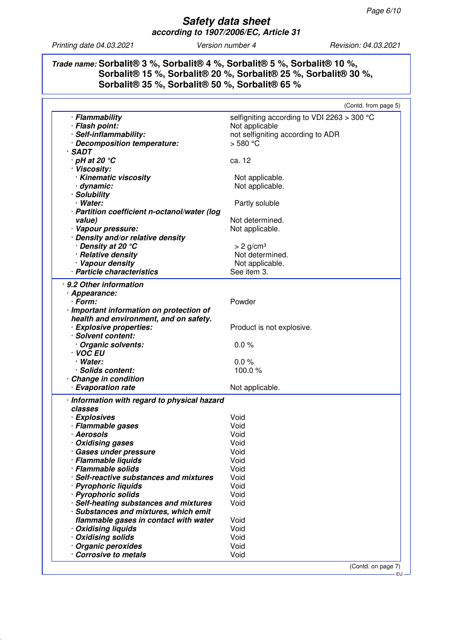## **Trade name: Sorbalit® 3 %, Sorbalit® 4 %, Sorbalit® 5 %, Sorbalit® 10 %, Sorbalit® 15 %, Sorbalit® 20 %, Sorbalit® 25 %, Sorbalit® 30 %, Sorbalit® 35 %, Sorbalit® 50 %, Sorbalit® 65 %**

|                                              | (Contd. from page 5)                        |
|----------------------------------------------|---------------------------------------------|
| · Flammability                               | selfigniting according to VDI 2263 > 300 °C |
| · Flash point:                               | Not applicable                              |
| · Self-inflammability:                       | not selfigniting according to ADR           |
| · Decomposition temperature:                 | $>$ 580 °C                                  |
| $·$ SADT                                     |                                             |
| $\cdot$ pH at 20 $\degree$ C                 | ca. 12                                      |
| · Viscosity:                                 |                                             |
| · Kinematic viscosity                        | Not applicable.                             |
| · dynamic:                                   | Not applicable.                             |
| · Solubility                                 |                                             |
| · Water:                                     | Partly soluble                              |
| · Partition coefficient n-octanol/water (log |                                             |
| value)                                       | Not determined.                             |
| · Vapour pressure:                           | Not applicable.                             |
| · Density and/or relative density            |                                             |
| · Density at 20 °C                           | $> 2$ g/cm <sup>3</sup>                     |
| · Relative density                           | Not determined.                             |
| · Vapour density                             | Not applicable.                             |
| · Particle characteristics                   | See item 3.                                 |
|                                              |                                             |
| · 9.2 Other information                      |                                             |
| · Appearance:                                |                                             |
| · Form:                                      | Powder                                      |
| · Important information on protection of     |                                             |
| health and environment, and on safety.       |                                             |
| · Explosive properties:                      | Product is not explosive.                   |
| · Solvent content:                           |                                             |
| · Organic solvents:                          | 0.0%                                        |
| · VOC EU                                     |                                             |
| · Water:                                     | 0.0%                                        |
| · Solids content:                            | 100.0%                                      |
| · Change in condition                        |                                             |
| · Evaporation rate                           | Not applicable.                             |
| · Information with regard to physical hazard |                                             |
| classes                                      |                                             |
| · Explosives                                 | Void                                        |
| · Flammable gases                            | Void                                        |
| · Aerosols                                   | Void                                        |
| · Oxidising gases                            | Void                                        |
| · Gases under pressure                       | Void                                        |
| · Flammable liquids                          | Void                                        |
| · Flammable solids                           | Void                                        |
| · Self-reactive substances and mixtures      | Void                                        |
| · Pyrophoric liquids                         | Void                                        |
| · Pyrophoric solids                          | Void                                        |
| · Self-heating substances and mixtures       | Void                                        |
| · Substances and mixtures, which emit        |                                             |
| flammable gases in contact with water        | Void                                        |
| · Oxidising liquids                          | Void                                        |
| · Oxidising solids                           | Void                                        |
| · Organic peroxides                          | Void                                        |
| Corrosive to metals                          | Void                                        |
|                                              |                                             |
|                                              | (Contd. on page 7)                          |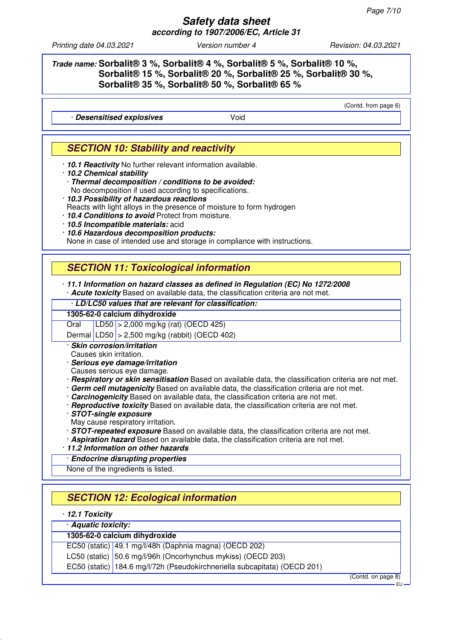### **Safety data sheet according to 1907/2006/EC, Article 31**

*Printing date 04.03.2021 Version number 4 Revision: 04.03.2021*

(Contd. from page 6)

## **Trade name: Sorbalit® 3 %, Sorbalit® 4 %, Sorbalit® 5 %, Sorbalit® 10 %, Sorbalit® 15 %, Sorbalit® 20 %, Sorbalit® 25 %, Sorbalit® 30 %, Sorbalit® 35 %, Sorbalit® 50 %, Sorbalit® 65 %**

· **Desensitised explosives** Void

# **SECTION 10: Stability and reactivity**

- · **10.1 Reactivity** No further relevant information available.
- · **10.2 Chemical stability**
	- · **Thermal decomposition / conditions to be avoided:**

No decomposition if used according to specifications.

- · **10.3 Possibility of hazardous reactions**
- Reacts with light alloys in the presence of moisture to form hydrogen

· **10.4 Conditions to avoid** Protect from moisture.

· **10.5 Incompatible materials:** acid

· **10.6 Hazardous decomposition products:** None in case of intended use and storage in compliance with instructions.

# **SECTION 11: Toxicological information**

· **11.1 Information on hazard classes as defined in Regulation (EC) No 1272/2008** · **Acute toxicity** Based on available data, the classification criteria are not met.

· **LD/LC50 values that are relevant for classification:**

#### **1305-62-0 calcium dihydroxide**

Oral LD50 > 2,000 mg/kg (rat) (OECD 425)

Dermal LD50 > 2,500 mg/kg (rabbit) (OECD 402)

· **Skin corrosion/irritation**

Causes skin irritation.

· **Serious eye damage/irritation**

Causes serious eye damage.

- · **Respiratory or skin sensitisation** Based on available data, the classification criteria are not met.
- · **Germ cell mutagenicity** Based on available data, the classification criteria are not met.
- · **Carcinogenicity** Based on available data, the classification criteria are not met.
- · **Reproductive toxicity** Based on available data, the classification criteria are not met.
- · **STOT-single exposure**
- May cause respiratory irritation.
- · **STOT-repeated exposure** Based on available data, the classification criteria are not met.
- · **Aspiration hazard** Based on available data, the classification criteria are not met.
- · **11.2 Information on other hazards**

### · **Endocrine disrupting properties**

None of the ingredients is listed.

# **SECTION 12: Ecological information**

· **12.1 Toxicity**

#### · **Aquatic toxicity:**

### **1305-62-0 calcium dihydroxide**

EC50 (static) 49.1 mg/l/48h (Daphnia magna) (OECD 202)

LC50 (static) 50.6 mg/l/96h (Oncorhynchus mykiss) (OECD 203)

EC50 (static) 184.6 mg/l/72h (Pseudokirchneriella subcapitata) (OECD 201)

(Contd. on page 8)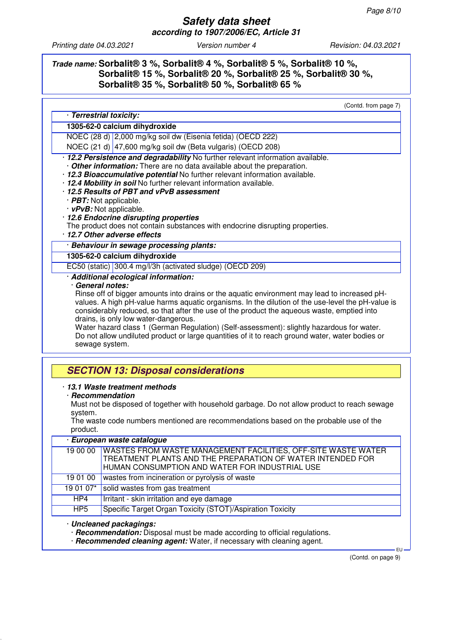## **Trade name: Sorbalit® 3 %, Sorbalit® 4 %, Sorbalit® 5 %, Sorbalit® 10 %, Sorbalit® 15 %, Sorbalit® 20 %, Sorbalit® 25 %, Sorbalit® 30 %, Sorbalit® 35 %, Sorbalit® 50 %, Sorbalit® 65 %**

(Contd. from page 7)

#### · **Terrestrial toxicity: 1305-62-0 calcium dihydroxide**

NOEC (28 d) 2,000 mg/kg soil dw (Eisenia fetida) (OECD 222)

NOEC (21 d) 47,600 mg/kg soil dw (Beta vulgaris) (OECD 208)

### · **12.2 Persistence and degradability** No further relevant information available. **Other information:** There are no data available about the preparation.

· **12.3 Bioaccumulative potential** No further relevant information available.

- · **12.4 Mobility in soil** No further relevant information available.
- · **12.5 Results of PBT and vPvB assessment**
- · **PBT:** Not applicable.
- · **vPvB:** Not applicable.
- · **12.6 Endocrine disrupting properties**

The product does not contain substances with endocrine disrupting properties.

· **12.7 Other adverse effects**

#### · **Behaviour in sewage processing plants:**

### **1305-62-0 calcium dihydroxide**

EC50 (static) 300.4 mg/l/3h (activated sludge) (OECD 209)

### · **Additional ecological information:**

### · **General notes:**

Rinse off of bigger amounts into drains or the aquatic environment may lead to increased pHvalues. A high pH-value harms aquatic organisms. In the dilution of the use-level the pH-value is considerably reduced, so that after the use of the product the aqueous waste, emptied into drains, is only low water-dangerous.

Water hazard class 1 (German Regulation) (Self-assessment): slightly hazardous for water. Do not allow undiluted product or large quantities of it to reach ground water, water bodies or sewage system.

# **SECTION 13: Disposal considerations**

### · **13.1 Waste treatment methods**

· **Recommendation**

Must not be disposed of together with household garbage. Do not allow product to reach sewage system.

The waste code numbers mentioned are recommendations based on the probable use of the product.

| · European waste catalogue |                                                                                                                                                                                          |  |  |  |
|----------------------------|------------------------------------------------------------------------------------------------------------------------------------------------------------------------------------------|--|--|--|
|                            | 19 00 00   WASTES FROM WASTE MANAGEMENT FACILITIES, OFF-SITE WASTE WATER<br>TREATMENT PLANTS AND THE PREPARATION OF WATER INTENDED FOR<br>HUMAN CONSUMPTION AND WATER FOR INDUSTRIAL USE |  |  |  |
| 190100                     | wastes from incineration or pyrolysis of waste                                                                                                                                           |  |  |  |
| 19 01 07*                  | solid wastes from gas treatment                                                                                                                                                          |  |  |  |
| HP4                        | Irritant - skin irritation and eye damage                                                                                                                                                |  |  |  |
| HP <sub>5</sub>            | Specific Target Organ Toxicity (STOT)/Aspiration Toxicity                                                                                                                                |  |  |  |

#### · **Uncleaned packagings:**

· **Recommendation:** Disposal must be made according to official regulations.

· **Recommended cleaning agent:** Water, if necessary with cleaning agent.

(Contd. on page 9)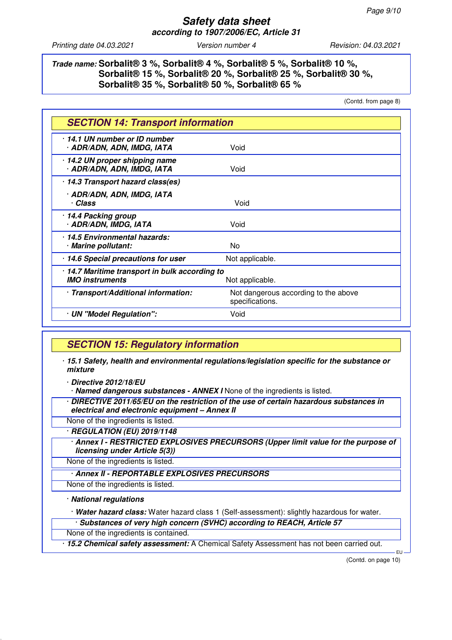## **Trade name: Sorbalit® 3 %, Sorbalit® 4 %, Sorbalit® 5 %, Sorbalit® 10 %, Sorbalit® 15 %, Sorbalit® 20 %, Sorbalit® 25 %, Sorbalit® 30 %, Sorbalit® 35 %, Sorbalit® 50 %, Sorbalit® 65 %**

(Contd. from page 8)

| <b>SECTION 14: Transport information</b>                                                  |                                                         |  |
|-------------------------------------------------------------------------------------------|---------------------------------------------------------|--|
| 14.1 UN number or ID number<br>· ADR/ADN, ADN, IMDG, IATA                                 | Void                                                    |  |
| 14.2 UN proper shipping name<br>· ADR/ADN, ADN, IMDG, IATA                                | Void                                                    |  |
| 14.3 Transport hazard class(es)                                                           |                                                         |  |
| · ADR/ADN, ADN, IMDG, IATA<br>· Class                                                     | Void                                                    |  |
| 14.4 Packing group<br>· ADR/ADN, IMDG, IATA                                               | Void                                                    |  |
| 14.5 Environmental hazards:<br>· Marine pollutant:                                        | N <sub>0</sub>                                          |  |
| 14.6 Special precautions for user                                                         | Not applicable.                                         |  |
| 14.7 Maritime transport in bulk according to<br><b>IMO</b> instruments<br>Not applicable. |                                                         |  |
| · Transport/Additional information:                                                       | Not dangerous according to the above<br>specifications. |  |
| · UN "Model Regulation":                                                                  | Void                                                    |  |

## **SECTION 15: Regulatory information**

· **15.1 Safety, health and environmental regulations/legislation specific for the substance or mixture**

· **Directive 2012/18/EU**

· **Named dangerous substances - ANNEX I** None of the ingredients is listed.

· **DIRECTIVE 2011/65/EU on the restriction of the use of certain hazardous substances in electrical and electronic equipment – Annex II**

None of the ingredients is listed.

· **REGULATION (EU) 2019/1148**

· **Annex I - RESTRICTED EXPLOSIVES PRECURSORS (Upper limit value for the purpose of licensing under Article 5(3))**

None of the ingredients is listed.

· **Annex II - REPORTABLE EXPLOSIVES PRECURSORS**

None of the ingredients is listed.

#### · **National regulations**

· **Water hazard class:** Water hazard class 1 (Self-assessment): slightly hazardous for water.

· **Substances of very high concern (SVHC) according to REACH, Article 57**

None of the ingredients is contained.

· **15.2 Chemical safety assessment:** A Chemical Safety Assessment has not been carried out.

(Contd. on page 10)